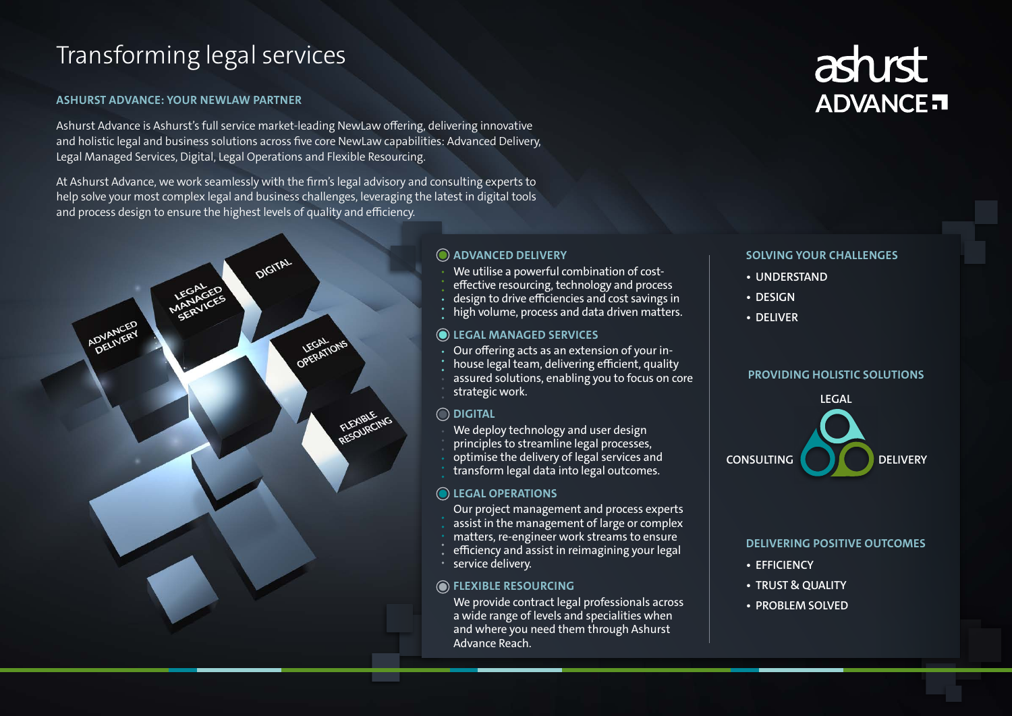# Transforming legal services

# **ASHURST ADVANCE: YOUR NEWLAW PARTNER**

Ashurst Advance is Ashurst's full service market-leading NewLaw offering, delivering innovative and holistic legal and business solutions across five core NewLaw capabilities: Advanced Delivery, Legal Managed Services, Digital, Legal Operations and Flexible Resourcing.

At Ashurst Advance, we work seamlessly with the firm's legal advisory and consulting experts to help solve your most complex legal and business challenges, leveraging the latest in digital tools and process design to ensure the highest levels of quality and efficiency.



- We utilise a powerful combination of cost-
- effective resourcing, technology and process
- design to drive efficiencies and cost savings in
- high volume, process and data driven matters.

## **SOLVING YOUR CHALLENGES**

**• UNDERSTAND • DESIGN • DELIVER**

We provide contract legal professionals across a wide range of levels and specialities when and where you need them through Ashurst Advance Reach.

# **PROVIDING HOLISTIC SOLUTIONS**

- 
- 
- 
- 

- -
- 
- 
- 
- 





# **DELIVERING POSITIVE OUTCOMES • EFFICIENCY • TRUST & QUALITY • PROBLEM SOLVED**

# **ADVANCED DELIVERY**

# **LEGAL MANAGED SERVICES**

- Our offering acts as an extension of your in-
- house legal team, delivering efficient, quality
- assured solutions, enabling you to focus on core
- strategic work.

# **FLEXIBLE RESOURCING**

- Our project management and process experts assist in the management of large or complex
- matters, re-engineer work streams to ensure
- efficiency and assist in reimagining your legal
- 
- service delivery.

# **DIGITAL**

- We deploy technology and user design
- principles to streamline legal processes,
- optimise the delivery of legal services and
- transform legal data into legal outcomes.

# **O** LEGAL OPERATIONS